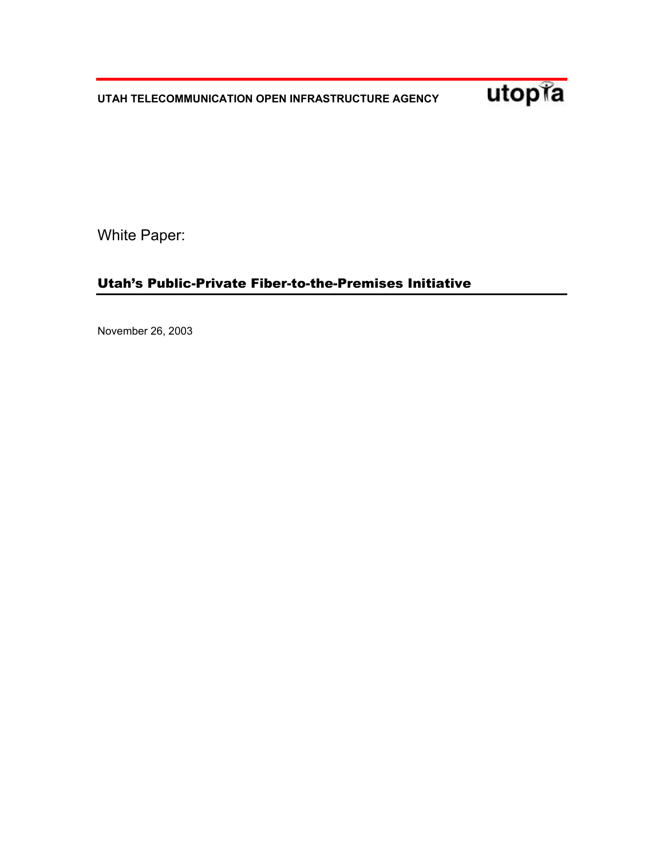**UTAH TELECOMMUNICATION OPEN INFRASTRUCTURE AGENCY** 



White Paper:

# Utah's Public-Private Fiber-to-the-Premises Initiative

November 26, 2003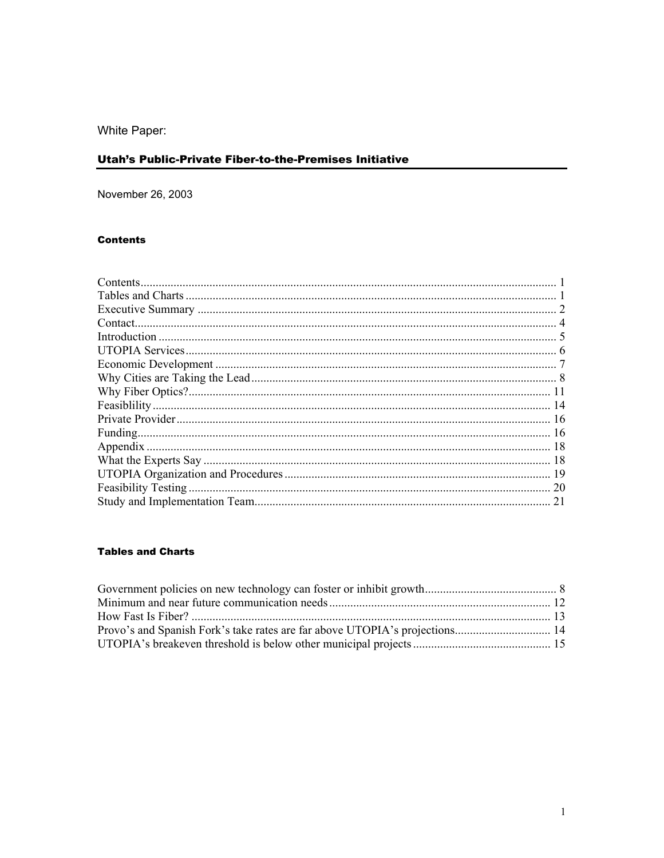White Paper:

# Utah's Public-Private Fiber-to-the-Premises Initiative

November 26, 2003

# **Contents**

| <b>20</b> |
|-----------|
| 21        |
|           |

# **Tables and Charts**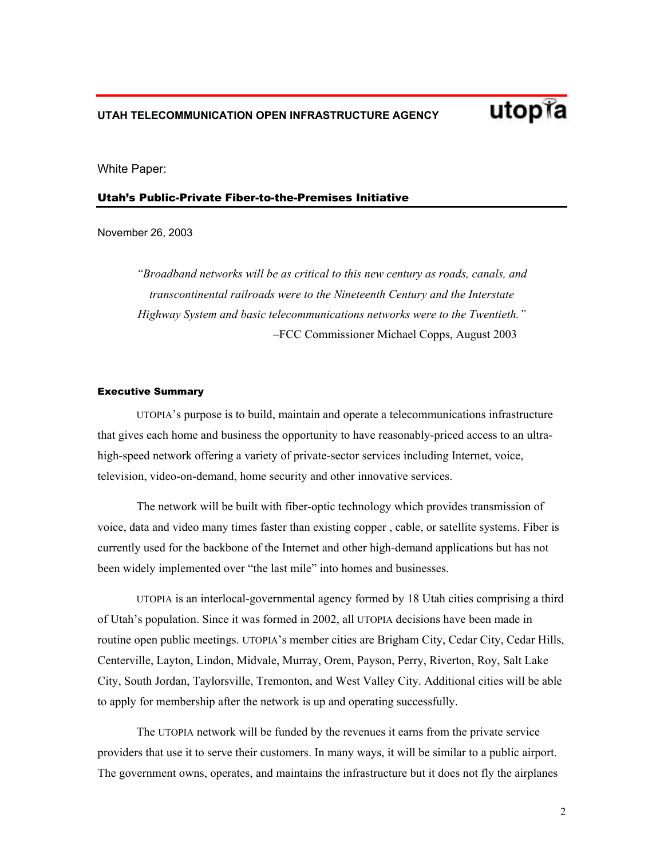

White Paper:

#### Utah's Public-Private Fiber-to-the-Premises Initiative

November 26, 2003

*"Broadband networks will be as critical to this new century as roads, canals, and transcontinental railroads were to the Nineteenth Century and the Interstate Highway System and basic telecommunications networks were to the Twentieth."*  –FCC Commissioner Michael Copps, August 2003

#### Executive Summary

UTOPIA's purpose is to build, maintain and operate a telecommunications infrastructure that gives each home and business the opportunity to have reasonably-priced access to an ultrahigh-speed network offering a variety of private-sector services including Internet, voice, television, video-on-demand, home security and other innovative services.

The network will be built with fiber-optic technology which provides transmission of voice, data and video many times faster than existing copper , cable, or satellite systems. Fiber is currently used for the backbone of the Internet and other high-demand applications but has not been widely implemented over "the last mile" into homes and businesses.

UTOPIA is an interlocal-governmental agency formed by 18 Utah cities comprising a third of Utah's population. Since it was formed in 2002, all UTOPIA decisions have been made in routine open public meetings. UTOPIA's member cities are Brigham City, Cedar City, Cedar Hills, Centerville, Layton, Lindon, Midvale, Murray, Orem, Payson, Perry, Riverton, Roy, Salt Lake City, South Jordan, Taylorsville, Tremonton, and West Valley City. Additional cities will be able to apply for membership after the network is up and operating successfully.

The UTOPIA network will be funded by the revenues it earns from the private service providers that use it to serve their customers. In many ways, it will be similar to a public airport. The government owns, operates, and maintains the infrastructure but it does not fly the airplanes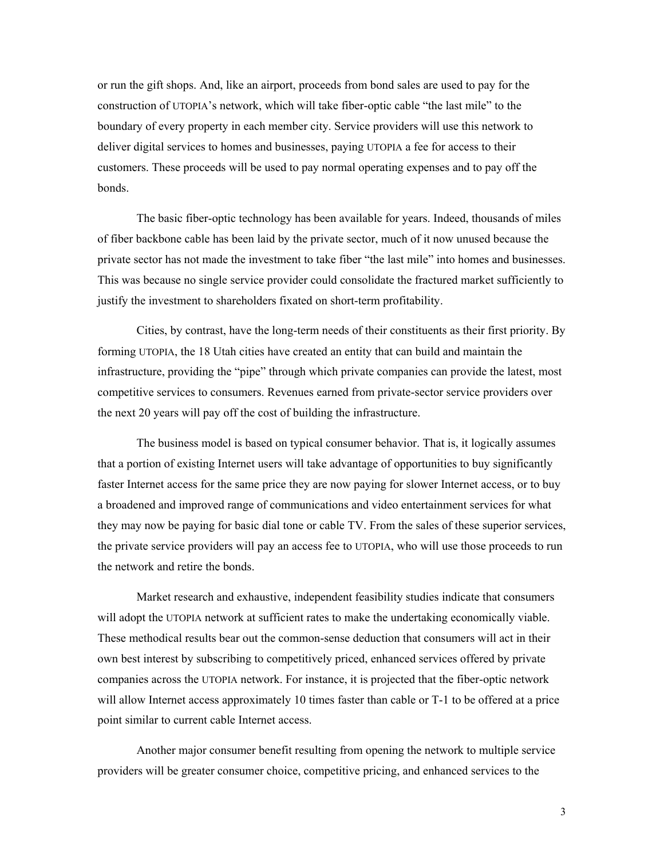or run the gift shops. And, like an airport, proceeds from bond sales are used to pay for the construction of UTOPIA's network, which will take fiber-optic cable "the last mile" to the boundary of every property in each member city. Service providers will use this network to deliver digital services to homes and businesses, paying UTOPIA a fee for access to their customers. These proceeds will be used to pay normal operating expenses and to pay off the bonds.

The basic fiber-optic technology has been available for years. Indeed, thousands of miles of fiber backbone cable has been laid by the private sector, much of it now unused because the private sector has not made the investment to take fiber "the last mile" into homes and businesses. This was because no single service provider could consolidate the fractured market sufficiently to justify the investment to shareholders fixated on short-term profitability.

Cities, by contrast, have the long-term needs of their constituents as their first priority. By forming UTOPIA, the 18 Utah cities have created an entity that can build and maintain the infrastructure, providing the "pipe" through which private companies can provide the latest, most competitive services to consumers. Revenues earned from private-sector service providers over the next 20 years will pay off the cost of building the infrastructure.

The business model is based on typical consumer behavior. That is, it logically assumes that a portion of existing Internet users will take advantage of opportunities to buy significantly faster Internet access for the same price they are now paying for slower Internet access, or to buy a broadened and improved range of communications and video entertainment services for what they may now be paying for basic dial tone or cable TV. From the sales of these superior services, the private service providers will pay an access fee to UTOPIA, who will use those proceeds to run the network and retire the bonds.

Market research and exhaustive, independent feasibility studies indicate that consumers will adopt the UTOPIA network at sufficient rates to make the undertaking economically viable. These methodical results bear out the common-sense deduction that consumers will act in their own best interest by subscribing to competitively priced, enhanced services offered by private companies across the UTOPIA network. For instance, it is projected that the fiber-optic network will allow Internet access approximately 10 times faster than cable or T-1 to be offered at a price point similar to current cable Internet access.

Another major consumer benefit resulting from opening the network to multiple service providers will be greater consumer choice, competitive pricing, and enhanced services to the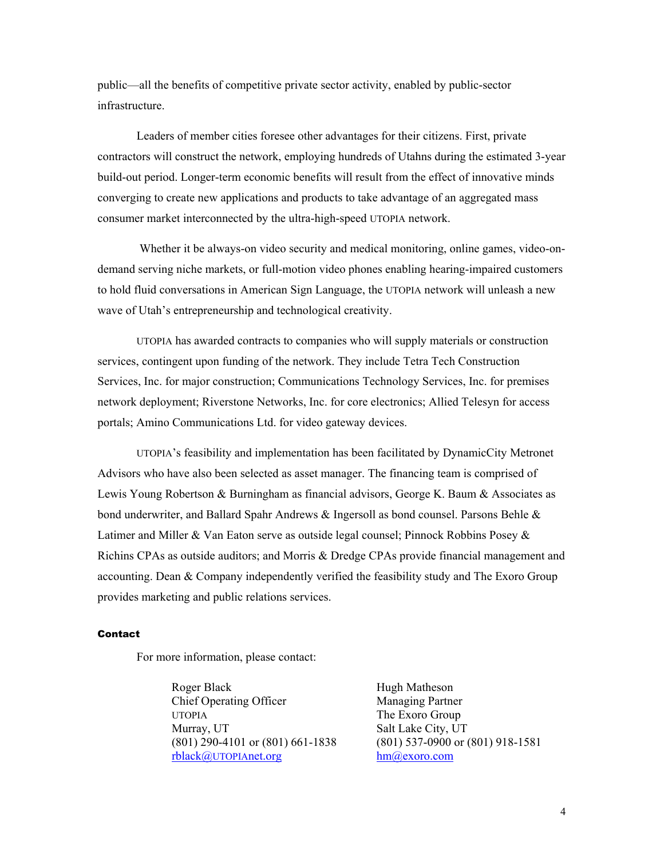public—all the benefits of competitive private sector activity, enabled by public-sector infrastructure.

Leaders of member cities foresee other advantages for their citizens. First, private contractors will construct the network, employing hundreds of Utahns during the estimated 3-year build-out period. Longer-term economic benefits will result from the effect of innovative minds converging to create new applications and products to take advantage of an aggregated mass consumer market interconnected by the ultra-high-speed UTOPIA network.

 Whether it be always-on video security and medical monitoring, online games, video-ondemand serving niche markets, or full-motion video phones enabling hearing-impaired customers to hold fluid conversations in American Sign Language, the UTOPIA network will unleash a new wave of Utah's entrepreneurship and technological creativity.

UTOPIA has awarded contracts to companies who will supply materials or construction services, contingent upon funding of the network. They include Tetra Tech Construction Services, Inc. for major construction; Communications Technology Services, Inc. for premises network deployment; Riverstone Networks, Inc. for core electronics; Allied Telesyn for access portals; Amino Communications Ltd. for video gateway devices.

UTOPIA's feasibility and implementation has been facilitated by DynamicCity Metronet Advisors who have also been selected as asset manager. The financing team is comprised of Lewis Young Robertson & Burningham as financial advisors, George K. Baum & Associates as bond underwriter, and Ballard Spahr Andrews & Ingersoll as bond counsel. Parsons Behle & Latimer and Miller & Van Eaton serve as outside legal counsel; Pinnock Robbins Posey & Richins CPAs as outside auditors; and Morris & Dredge CPAs provide financial management and accounting. Dean & Company independently verified the feasibility study and The Exoro Group provides marketing and public relations services.

### Contact

For more information, please contact:

Roger Black Chief Operating Officer UTOPIA Murray, UT (801) 290-4101 or (801) 661-1838 rblack@UTOPIAnet.org

Hugh Matheson Managing Partner The Exoro Group Salt Lake City, UT (801) 537-0900 or (801) 918-1581 hm@exoro.com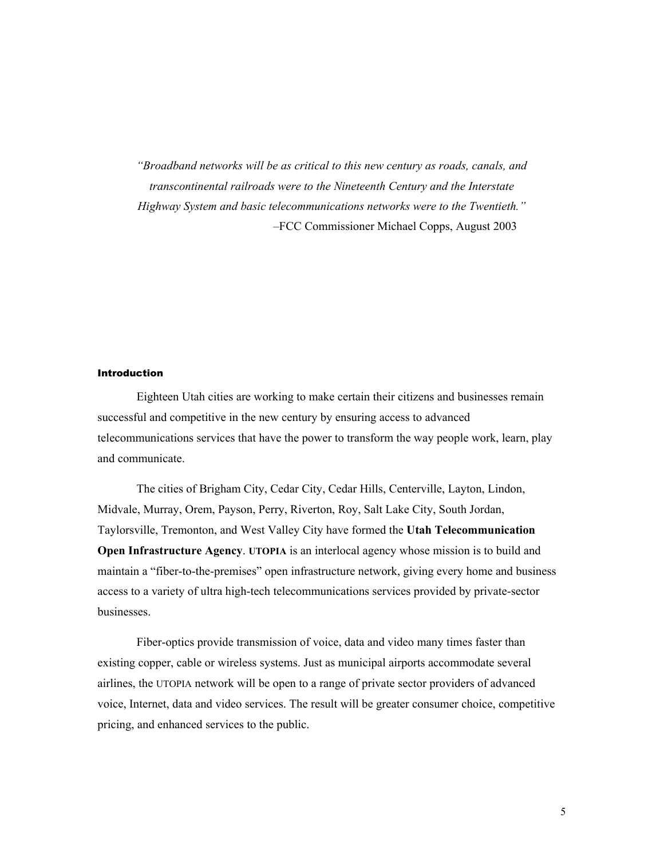*"Broadband networks will be as critical to this new century as roads, canals, and transcontinental railroads were to the Nineteenth Century and the Interstate Highway System and basic telecommunications networks were to the Twentieth."*  –FCC Commissioner Michael Copps, August 2003

### Introduction

Eighteen Utah cities are working to make certain their citizens and businesses remain successful and competitive in the new century by ensuring access to advanced telecommunications services that have the power to transform the way people work, learn, play and communicate.

The cities of Brigham City, Cedar City, Cedar Hills, Centerville, Layton, Lindon, Midvale, Murray, Orem, Payson, Perry, Riverton, Roy, Salt Lake City, South Jordan, Taylorsville, Tremonton, and West Valley City have formed the **Utah Telecommunication Open Infrastructure Agency**. **UTOPIA** is an interlocal agency whose mission is to build and maintain a "fiber-to-the-premises" open infrastructure network, giving every home and business access to a variety of ultra high-tech telecommunications services provided by private-sector businesses.

Fiber-optics provide transmission of voice, data and video many times faster than existing copper, cable or wireless systems. Just as municipal airports accommodate several airlines, the UTOPIA network will be open to a range of private sector providers of advanced voice, Internet, data and video services. The result will be greater consumer choice, competitive pricing, and enhanced services to the public.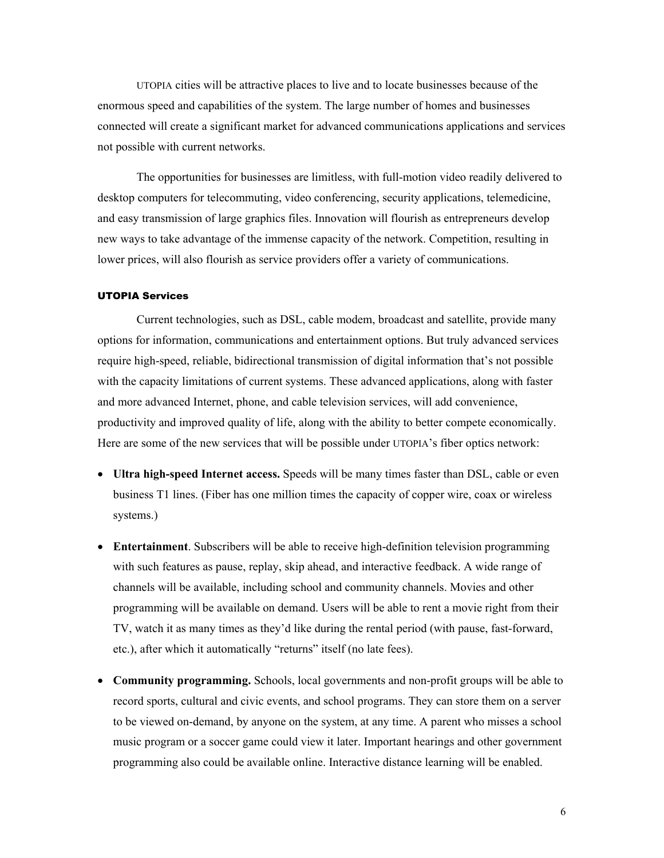UTOPIA cities will be attractive places to live and to locate businesses because of the enormous speed and capabilities of the system. The large number of homes and businesses connected will create a significant market for advanced communications applications and services not possible with current networks.

The opportunities for businesses are limitless, with full-motion video readily delivered to desktop computers for telecommuting, video conferencing, security applications, telemedicine, and easy transmission of large graphics files. Innovation will flourish as entrepreneurs develop new ways to take advantage of the immense capacity of the network. Competition, resulting in lower prices, will also flourish as service providers offer a variety of communications.

#### UTOPIA Services

Current technologies, such as DSL, cable modem, broadcast and satellite, provide many options for information, communications and entertainment options. But truly advanced services require high-speed, reliable, bidirectional transmission of digital information that's not possible with the capacity limitations of current systems. These advanced applications, along with faster and more advanced Internet, phone, and cable television services, will add convenience, productivity and improved quality of life, along with the ability to better compete economically. Here are some of the new services that will be possible under UTOPIA's fiber optics network:

- **Ultra high-speed Internet access.** Speeds will be many times faster than DSL, cable or even business T1 lines. (Fiber has one million times the capacity of copper wire, coax or wireless systems.)
- **Entertainment**. Subscribers will be able to receive high-definition television programming with such features as pause, replay, skip ahead, and interactive feedback. A wide range of channels will be available, including school and community channels. Movies and other programming will be available on demand. Users will be able to rent a movie right from their TV, watch it as many times as they'd like during the rental period (with pause, fast-forward, etc.), after which it automatically "returns" itself (no late fees).
- **Community programming.** Schools, local governments and non-profit groups will be able to record sports, cultural and civic events, and school programs. They can store them on a server to be viewed on-demand, by anyone on the system, at any time. A parent who misses a school music program or a soccer game could view it later. Important hearings and other government programming also could be available online. Interactive distance learning will be enabled.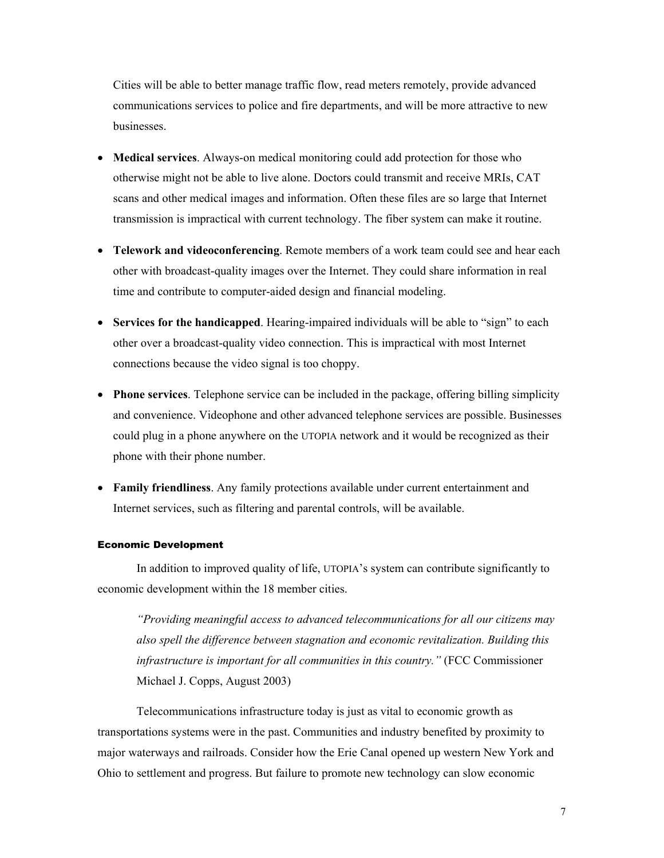Cities will be able to better manage traffic flow, read meters remotely, provide advanced communications services to police and fire departments, and will be more attractive to new businesses.

- **Medical services**. Always-on medical monitoring could add protection for those who otherwise might not be able to live alone. Doctors could transmit and receive MRIs, CAT scans and other medical images and information. Often these files are so large that Internet transmission is impractical with current technology. The fiber system can make it routine.
- **Telework and videoconferencing**. Remote members of a work team could see and hear each other with broadcast-quality images over the Internet. They could share information in real time and contribute to computer-aided design and financial modeling.
- **Services for the handicapped**. Hearing-impaired individuals will be able to "sign" to each other over a broadcast-quality video connection. This is impractical with most Internet connections because the video signal is too choppy.
- **Phone services**. Telephone service can be included in the package, offering billing simplicity and convenience. Videophone and other advanced telephone services are possible. Businesses could plug in a phone anywhere on the UTOPIA network and it would be recognized as their phone with their phone number.
- **Family friendliness**. Any family protections available under current entertainment and Internet services, such as filtering and parental controls, will be available.

#### Economic Development

In addition to improved quality of life, UTOPIA's system can contribute significantly to economic development within the 18 member cities.

*"Providing meaningful access to advanced telecommunications for all our citizens may also spell the difference between stagnation and economic revitalization. Building this infrastructure is important for all communities in this country."* (FCC Commissioner Michael J. Copps, August 2003)

Telecommunications infrastructure today is just as vital to economic growth as transportations systems were in the past. Communities and industry benefited by proximity to major waterways and railroads. Consider how the Erie Canal opened up western New York and Ohio to settlement and progress. But failure to promote new technology can slow economic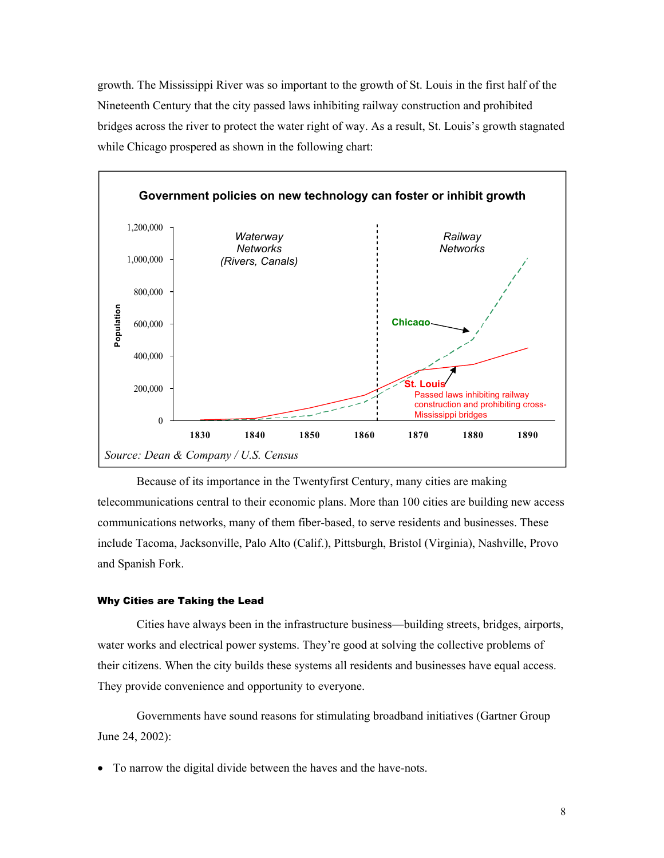growth. The Mississippi River was so important to the growth of St. Louis in the first half of the Nineteenth Century that the city passed laws inhibiting railway construction and prohibited bridges across the river to protect the water right of way. As a result, St. Louis's growth stagnated while Chicago prospered as shown in the following chart:



Because of its importance in the Twentyfirst Century, many cities are making telecommunications central to their economic plans. More than 100 cities are building new access communications networks, many of them fiber-based, to serve residents and businesses. These include Tacoma, Jacksonville, Palo Alto (Calif.), Pittsburgh, Bristol (Virginia), Nashville, Provo and Spanish Fork.

#### Why Cities are Taking the Lead

Cities have always been in the infrastructure business—building streets, bridges, airports, water works and electrical power systems. They're good at solving the collective problems of their citizens. When the city builds these systems all residents and businesses have equal access. They provide convenience and opportunity to everyone.

Governments have sound reasons for stimulating broadband initiatives (Gartner Group June 24, 2002):

• To narrow the digital divide between the haves and the have-nots.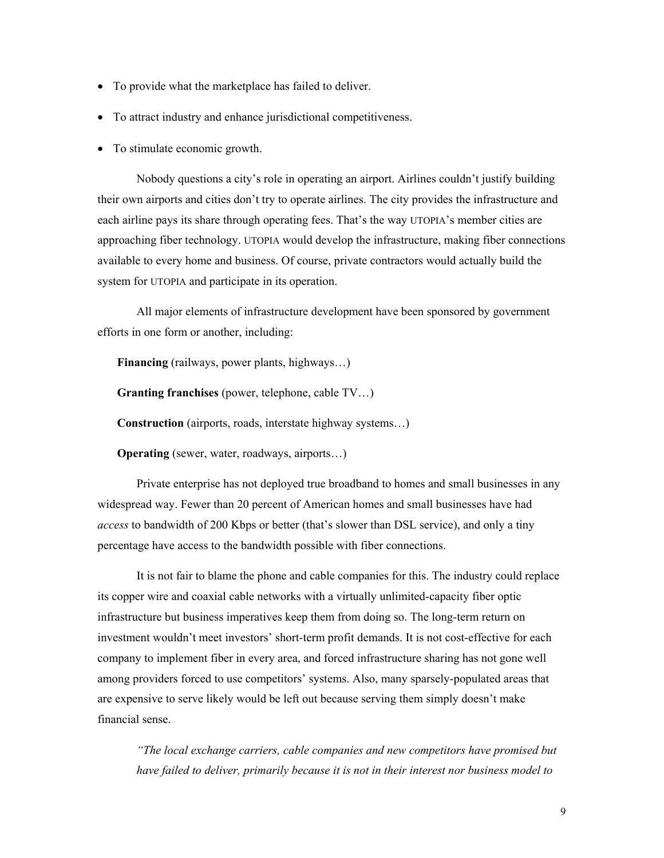- To provide what the marketplace has failed to deliver.
- To attract industry and enhance jurisdictional competitiveness.
- To stimulate economic growth.

Nobody questions a city's role in operating an airport. Airlines couldn't justify building their own airports and cities don't try to operate airlines. The city provides the infrastructure and each airline pays its share through operating fees. That's the way UTOPIA's member cities are approaching fiber technology. UTOPIA would develop the infrastructure, making fiber connections available to every home and business. Of course, private contractors would actually build the system for UTOPIA and participate in its operation.

All major elements of infrastructure development have been sponsored by government efforts in one form or another, including:

 **Financing** (railways, power plants, highways…)

 **Granting franchises** (power, telephone, cable TV…)

 **Construction** (airports, roads, interstate highway systems…)

**Operating** (sewer, water, roadways, airports...)

Private enterprise has not deployed true broadband to homes and small businesses in any widespread way. Fewer than 20 percent of American homes and small businesses have had *access* to bandwidth of 200 Kbps or better (that's slower than DSL service), and only a tiny percentage have access to the bandwidth possible with fiber connections.

It is not fair to blame the phone and cable companies for this. The industry could replace its copper wire and coaxial cable networks with a virtually unlimited-capacity fiber optic infrastructure but business imperatives keep them from doing so. The long-term return on investment wouldn't meet investors' short-term profit demands. It is not cost-effective for each company to implement fiber in every area, and forced infrastructure sharing has not gone well among providers forced to use competitors' systems. Also, many sparsely-populated areas that are expensive to serve likely would be left out because serving them simply doesn't make financial sense.

*"The local exchange carriers, cable companies and new competitors have promised but have failed to deliver, primarily because it is not in their interest nor business model to*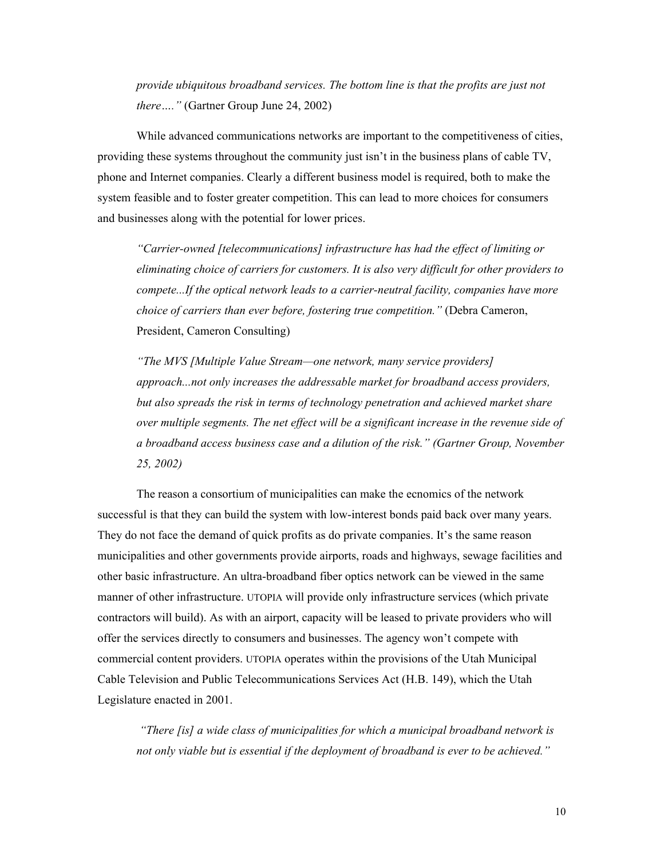*provide ubiquitous broadband services. The bottom line is that the profits are just not there…."* (Gartner Group June 24, 2002)

While advanced communications networks are important to the competitiveness of cities, providing these systems throughout the community just isn't in the business plans of cable TV, phone and Internet companies. Clearly a different business model is required, both to make the system feasible and to foster greater competition. This can lead to more choices for consumers and businesses along with the potential for lower prices.

*"Carrier-owned [telecommunications] infrastructure has had the effect of limiting or eliminating choice of carriers for customers. It is also very difficult for other providers to compete...If the optical network leads to a carrier-neutral facility, companies have more choice of carriers than ever before, fostering true competition."* (Debra Cameron, President, Cameron Consulting)

*"The MVS [Multiple Value Stream—one network, many service providers] approach...not only increases the addressable market for broadband access providers, but also spreads the risk in terms of technology penetration and achieved market share over multiple segments. The net effect will be a significant increase in the revenue side of a broadband access business case and a dilution of the risk." (Gartner Group, November 25, 2002)* 

The reason a consortium of municipalities can make the ecnomics of the network successful is that they can build the system with low-interest bonds paid back over many years. They do not face the demand of quick profits as do private companies. It's the same reason municipalities and other governments provide airports, roads and highways, sewage facilities and other basic infrastructure. An ultra-broadband fiber optics network can be viewed in the same manner of other infrastructure. UTOPIA will provide only infrastructure services (which private contractors will build). As with an airport, capacity will be leased to private providers who will offer the services directly to consumers and businesses. The agency won't compete with commercial content providers. UTOPIA operates within the provisions of the Utah Municipal Cable Television and Public Telecommunications Services Act (H.B. 149), which the Utah Legislature enacted in 2001.

 *"There [is] a wide class of municipalities for which a municipal broadband network is not only viable but is essential if the deployment of broadband is ever to be achieved."*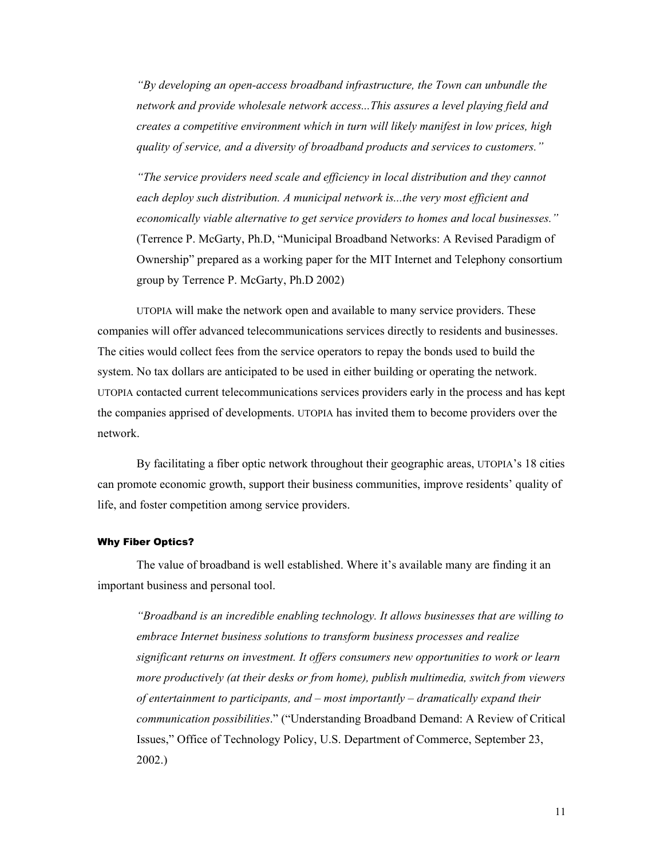*"By developing an open-access broadband infrastructure, the Town can unbundle the network and provide wholesale network access...This assures a level playing field and creates a competitive environment which in turn will likely manifest in low prices, high quality of service, and a diversity of broadband products and services to customers."* 

*"The service providers need scale and efficiency in local distribution and they cannot each deploy such distribution. A municipal network is...the very most efficient and economically viable alternative to get service providers to homes and local businesses."*  (Terrence P. McGarty, Ph.D, "Municipal Broadband Networks: A Revised Paradigm of Ownership" prepared as a working paper for the MIT Internet and Telephony consortium group by Terrence P. McGarty, Ph.D 2002)

UTOPIA will make the network open and available to many service providers. These companies will offer advanced telecommunications services directly to residents and businesses. The cities would collect fees from the service operators to repay the bonds used to build the system. No tax dollars are anticipated to be used in either building or operating the network. UTOPIA contacted current telecommunications services providers early in the process and has kept the companies apprised of developments. UTOPIA has invited them to become providers over the network.

By facilitating a fiber optic network throughout their geographic areas, UTOPIA's 18 cities can promote economic growth, support their business communities, improve residents' quality of life, and foster competition among service providers.

### Why Fiber Optics?

The value of broadband is well established. Where it's available many are finding it an important business and personal tool.

*"Broadband is an incredible enabling technology. It allows businesses that are willing to embrace Internet business solutions to transform business processes and realize significant returns on investment. It offers consumers new opportunities to work or learn more productively (at their desks or from home), publish multimedia, switch from viewers of entertainment to participants, and – most importantly – dramatically expand their communication possibilities*." ("Understanding Broadband Demand: A Review of Critical Issues," Office of Technology Policy, U.S. Department of Commerce, September 23, 2002.)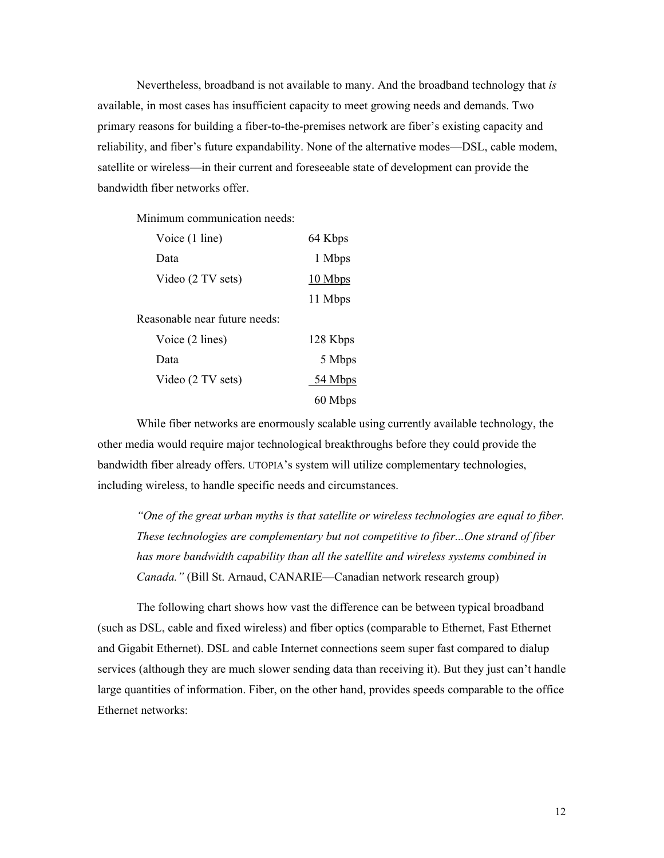Nevertheless, broadband is not available to many. And the broadband technology that *is*  available, in most cases has insufficient capacity to meet growing needs and demands. Two primary reasons for building a fiber-to-the-premises network are fiber's existing capacity and reliability, and fiber's future expandability. None of the alternative modes—DSL, cable modem, satellite or wireless—in their current and foreseeable state of development can provide the bandwidth fiber networks offer.

Minimum communication needs:

| Voice (1 line)                | 64 Kbps  |
|-------------------------------|----------|
| Data                          | 1 Mbps   |
| Video (2 TV sets)             | 10 Mbps  |
|                               | 11 Mbps  |
| Reasonable near future needs: |          |
| Voice (2 lines)               | 128 Kbps |
| Data                          | 5 Mbps   |
| Video (2 TV sets)             | 54 Mbps  |
|                               | 60 Mbps  |
|                               |          |

While fiber networks are enormously scalable using currently available technology, the other media would require major technological breakthroughs before they could provide the bandwidth fiber already offers. UTOPIA's system will utilize complementary technologies, including wireless, to handle specific needs and circumstances.

*"One of the great urban myths is that satellite or wireless technologies are equal to fiber. These technologies are complementary but not competitive to fiber...One strand of fiber has more bandwidth capability than all the satellite and wireless systems combined in Canada."* (Bill St. Arnaud, CANARIE—Canadian network research group)

The following chart shows how vast the difference can be between typical broadband (such as DSL, cable and fixed wireless) and fiber optics (comparable to Ethernet, Fast Ethernet and Gigabit Ethernet). DSL and cable Internet connections seem super fast compared to dialup services (although they are much slower sending data than receiving it). But they just can't handle large quantities of information. Fiber, on the other hand, provides speeds comparable to the office Ethernet networks: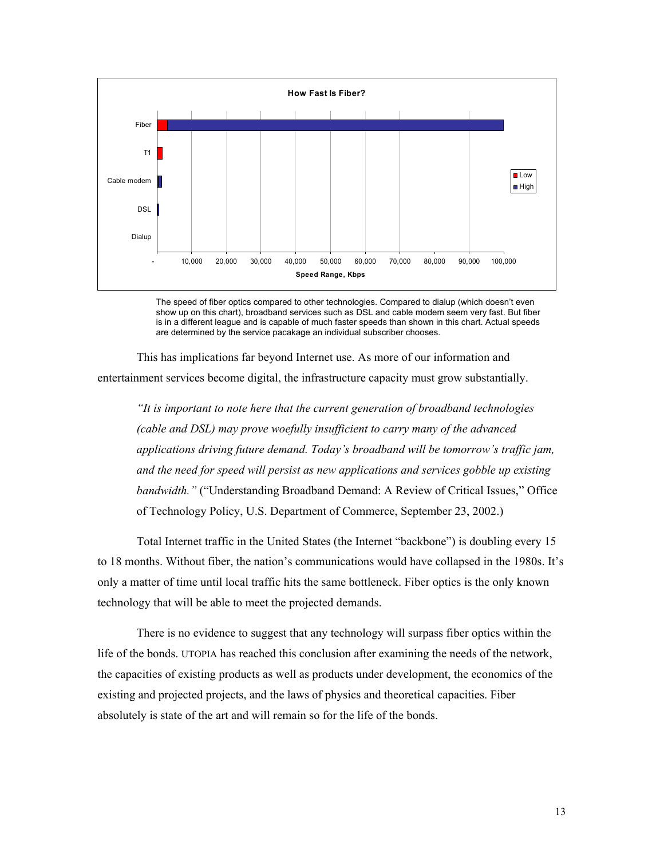

The speed of fiber optics compared to other technologies. Compared to dialup (which doesn't even show up on this chart), broadband services such as DSL and cable modem seem very fast. But fiber is in a different league and is capable of much faster speeds than shown in this chart. Actual speeds are determined by the service pacakage an individual subscriber chooses.

This has implications far beyond Internet use. As more of our information and entertainment services become digital, the infrastructure capacity must grow substantially.

*"It is important to note here that the current generation of broadband technologies (cable and DSL) may prove woefully insufficient to carry many of the advanced applications driving future demand. Today's broadband will be tomorrow's traffic jam, and the need for speed will persist as new applications and services gobble up existing bandwidth."* ("Understanding Broadband Demand: A Review of Critical Issues," Office of Technology Policy, U.S. Department of Commerce, September 23, 2002.)

Total Internet traffic in the United States (the Internet "backbone") is doubling every 15 to 18 months. Without fiber, the nation's communications would have collapsed in the 1980s. It's only a matter of time until local traffic hits the same bottleneck. Fiber optics is the only known technology that will be able to meet the projected demands.

There is no evidence to suggest that any technology will surpass fiber optics within the life of the bonds. UTOPIA has reached this conclusion after examining the needs of the network, the capacities of existing products as well as products under development, the economics of the existing and projected projects, and the laws of physics and theoretical capacities. Fiber absolutely is state of the art and will remain so for the life of the bonds.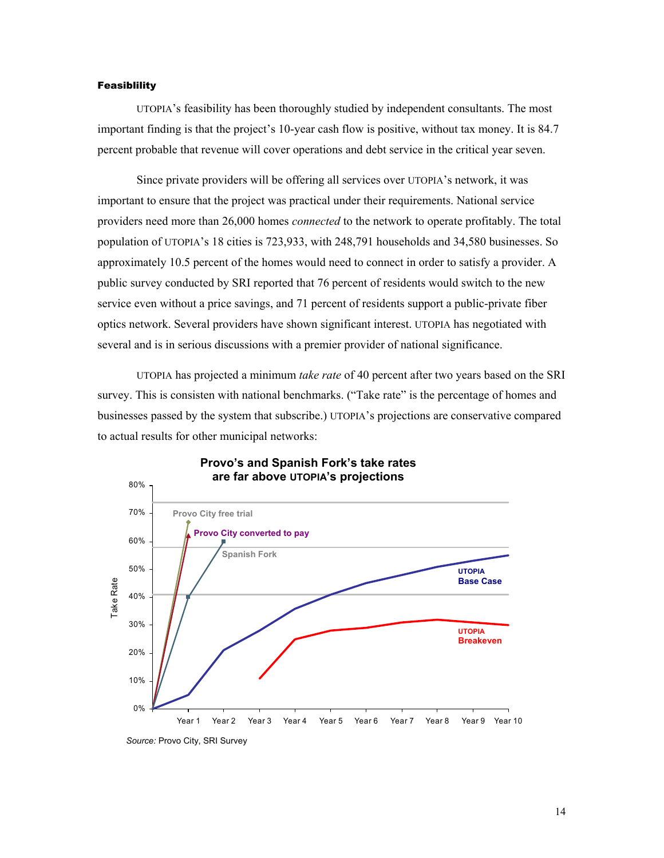#### **Feasiblility**

UTOPIA's feasibility has been thoroughly studied by independent consultants. The most important finding is that the project's 10-year cash flow is positive, without tax money. It is 84.7 percent probable that revenue will cover operations and debt service in the critical year seven.

Since private providers will be offering all services over UTOPIA's network, it was important to ensure that the project was practical under their requirements. National service providers need more than 26,000 homes *connected* to the network to operate profitably. The total population of UTOPIA's 18 cities is 723,933, with 248,791 households and 34,580 businesses. So approximately 10.5 percent of the homes would need to connect in order to satisfy a provider. A public survey conducted by SRI reported that 76 percent of residents would switch to the new service even without a price savings, and 71 percent of residents support a public-private fiber optics network. Several providers have shown significant interest. UTOPIA has negotiated with several and is in serious discussions with a premier provider of national significance.

UTOPIA has projected a minimum *take rate* of 40 percent after two years based on the SRI survey. This is consisten with national benchmarks. ("Take rate" is the percentage of homes and businesses passed by the system that subscribe.) UTOPIA's projections are conservative compared to actual results for other municipal networks:



### **Provo's and Spanish Fork's take rates are far above UTOPIA's projections**

*Source:* Provo City, SRI Survey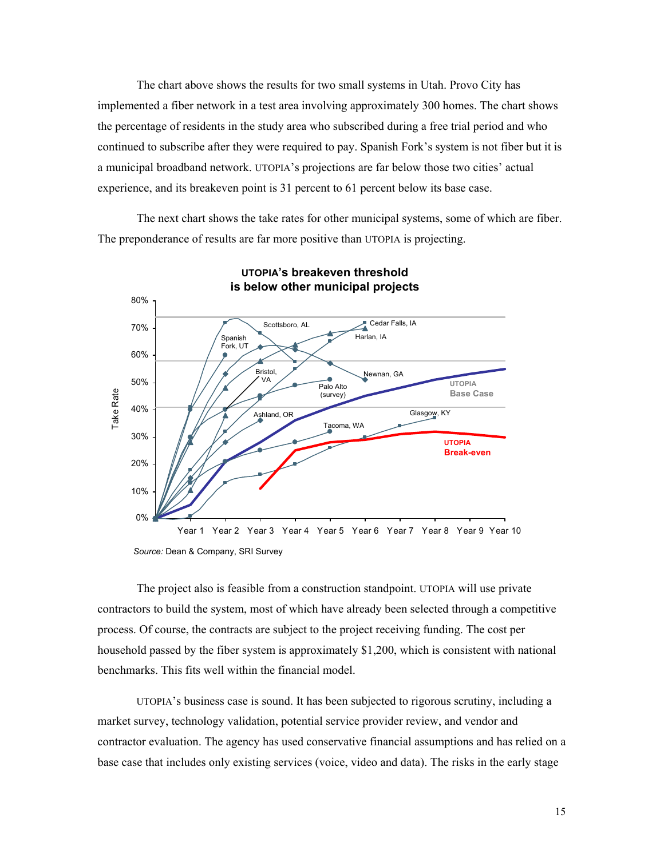The chart above shows the results for two small systems in Utah. Provo City has implemented a fiber network in a test area involving approximately 300 homes. The chart shows the percentage of residents in the study area who subscribed during a free trial period and who continued to subscribe after they were required to pay. Spanish Fork's system is not fiber but it is a municipal broadband network. UTOPIA's projections are far below those two cities' actual experience, and its breakeven point is 31 percent to 61 percent below its base case.

The next chart shows the take rates for other municipal systems, some of which are fiber. The preponderance of results are far more positive than UTOPIA is projecting.



*Source:* Dean & Company, SRI Survey

The project also is feasible from a construction standpoint. UTOPIA will use private contractors to build the system, most of which have already been selected through a competitive process. Of course, the contracts are subject to the project receiving funding. The cost per household passed by the fiber system is approximately \$1,200, which is consistent with national benchmarks. This fits well within the financial model.

UTOPIA's business case is sound. It has been subjected to rigorous scrutiny, including a market survey, technology validation, potential service provider review, and vendor and contractor evaluation. The agency has used conservative financial assumptions and has relied on a base case that includes only existing services (voice, video and data). The risks in the early stage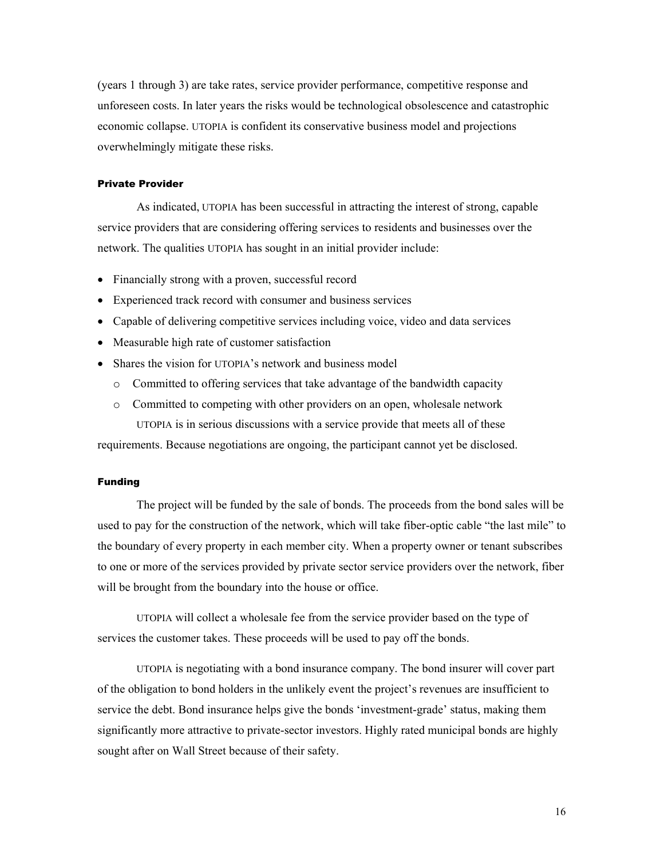(years 1 through 3) are take rates, service provider performance, competitive response and unforeseen costs. In later years the risks would be technological obsolescence and catastrophic economic collapse. UTOPIA is confident its conservative business model and projections overwhelmingly mitigate these risks.

#### Private Provider

As indicated, UTOPIA has been successful in attracting the interest of strong, capable service providers that are considering offering services to residents and businesses over the network. The qualities UTOPIA has sought in an initial provider include:

- Financially strong with a proven, successful record
- Experienced track record with consumer and business services
- Capable of delivering competitive services including voice, video and data services
- Measurable high rate of customer satisfaction
- Shares the vision for UTOPIA's network and business model
	- o Committed to offering services that take advantage of the bandwidth capacity
	- o Committed to competing with other providers on an open, wholesale network UTOPIA is in serious discussions with a service provide that meets all of these

requirements. Because negotiations are ongoing, the participant cannot yet be disclosed.

#### Funding

The project will be funded by the sale of bonds. The proceeds from the bond sales will be used to pay for the construction of the network, which will take fiber-optic cable "the last mile" to the boundary of every property in each member city. When a property owner or tenant subscribes to one or more of the services provided by private sector service providers over the network, fiber will be brought from the boundary into the house or office.

UTOPIA will collect a wholesale fee from the service provider based on the type of services the customer takes. These proceeds will be used to pay off the bonds.

UTOPIA is negotiating with a bond insurance company. The bond insurer will cover part of the obligation to bond holders in the unlikely event the project's revenues are insufficient to service the debt. Bond insurance helps give the bonds 'investment-grade' status, making them significantly more attractive to private-sector investors. Highly rated municipal bonds are highly sought after on Wall Street because of their safety.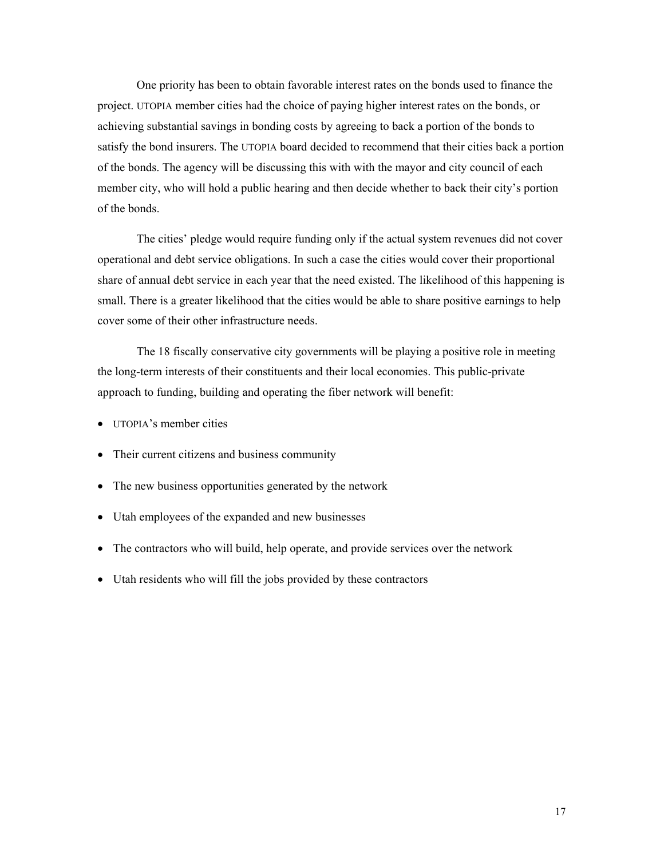One priority has been to obtain favorable interest rates on the bonds used to finance the project. UTOPIA member cities had the choice of paying higher interest rates on the bonds, or achieving substantial savings in bonding costs by agreeing to back a portion of the bonds to satisfy the bond insurers. The UTOPIA board decided to recommend that their cities back a portion of the bonds. The agency will be discussing this with with the mayor and city council of each member city, who will hold a public hearing and then decide whether to back their city's portion of the bonds.

The cities' pledge would require funding only if the actual system revenues did not cover operational and debt service obligations. In such a case the cities would cover their proportional share of annual debt service in each year that the need existed. The likelihood of this happening is small. There is a greater likelihood that the cities would be able to share positive earnings to help cover some of their other infrastructure needs.

The 18 fiscally conservative city governments will be playing a positive role in meeting the long-term interests of their constituents and their local economies. This public-private approach to funding, building and operating the fiber network will benefit:

- UTOPIA's member cities
- Their current citizens and business community
- The new business opportunities generated by the network
- Utah employees of the expanded and new businesses
- The contractors who will build, help operate, and provide services over the network
- Utah residents who will fill the jobs provided by these contractors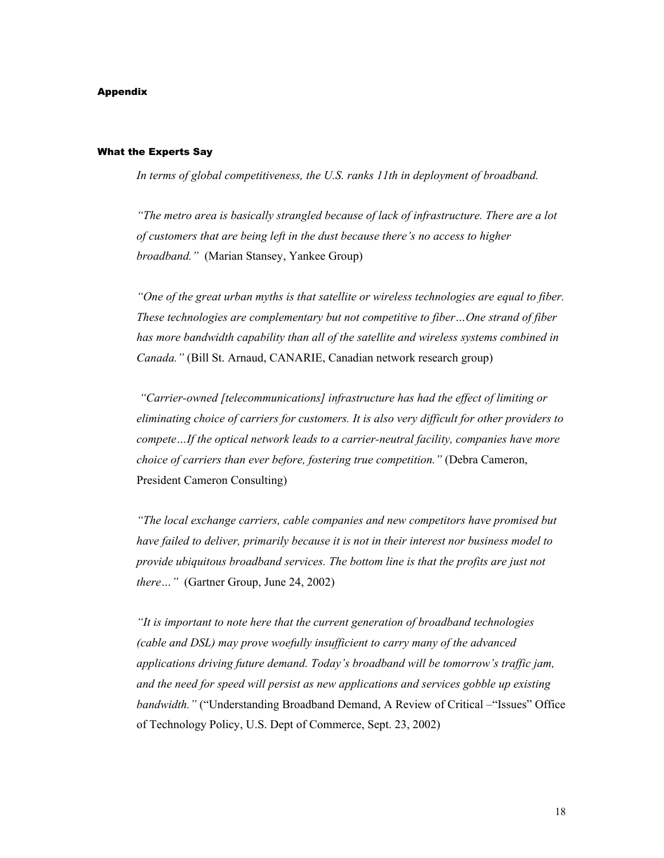#### Appendix

#### What the Experts Say

*In terms of global competitiveness, the U.S. ranks 11th in deployment of broadband.* 

*"The metro area is basically strangled because of lack of infrastructure. There are a lot of customers that are being left in the dust because there's no access to higher broadband."* (Marian Stansey, Yankee Group)

*"One of the great urban myths is that satellite or wireless technologies are equal to fiber. These technologies are complementary but not competitive to fiber…One strand of fiber has more bandwidth capability than all of the satellite and wireless systems combined in Canada."* (Bill St. Arnaud, CANARIE, Canadian network research group)

 *"Carrier-owned [telecommunications] infrastructure has had the effect of limiting or eliminating choice of carriers for customers. It is also very difficult for other providers to compete…If the optical network leads to a carrier-neutral facility, companies have more choice of carriers than ever before, fostering true competition."* (Debra Cameron, President Cameron Consulting)

*"The local exchange carriers, cable companies and new competitors have promised but have failed to deliver, primarily because it is not in their interest nor business model to provide ubiquitous broadband services. The bottom line is that the profits are just not there…"* (Gartner Group, June 24, 2002)

*"It is important to note here that the current generation of broadband technologies (cable and DSL) may prove woefully insufficient to carry many of the advanced applications driving future demand. Today's broadband will be tomorrow's traffic jam, and the need for speed will persist as new applications and services gobble up existing bandwidth."* ("Understanding Broadband Demand, A Review of Critical –"Issues" Office of Technology Policy, U.S. Dept of Commerce, Sept. 23, 2002)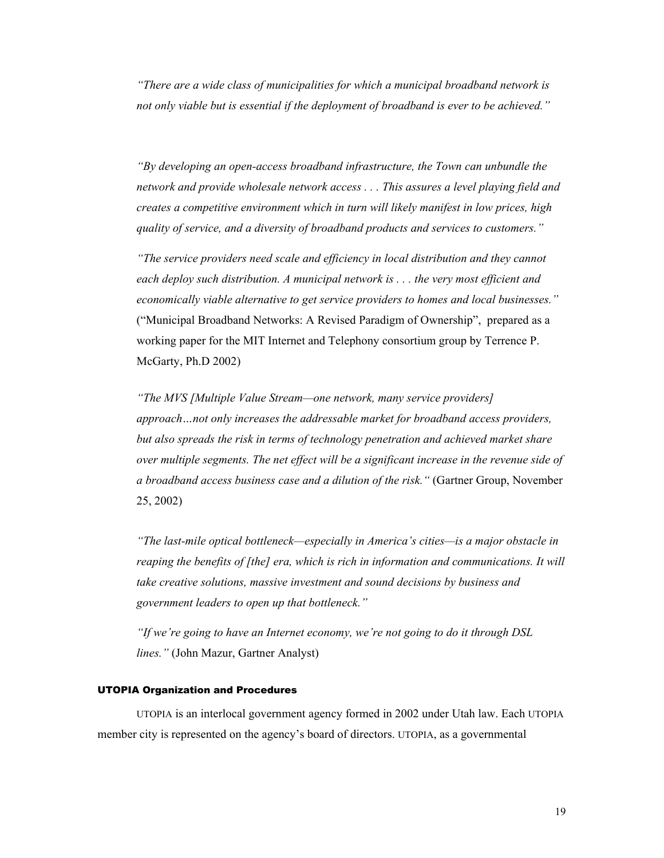*"There are a wide class of municipalities for which a municipal broadband network is not only viable but is essential if the deployment of broadband is ever to be achieved."* 

*"By developing an open-access broadband infrastructure, the Town can unbundle the network and provide wholesale network access . . . This assures a level playing field and creates a competitive environment which in turn will likely manifest in low prices, high quality of service, and a diversity of broadband products and services to customers."* 

*"The service providers need scale and efficiency in local distribution and they cannot each deploy such distribution. A municipal network is . . . the very most efficient and economically viable alternative to get service providers to homes and local businesses."*  ("Municipal Broadband Networks: A Revised Paradigm of Ownership", prepared as a working paper for the MIT Internet and Telephony consortium group by Terrence P. McGarty, Ph.D 2002)

*"The MVS [Multiple Value Stream—one network, many service providers] approach…not only increases the addressable market for broadband access providers, but also spreads the risk in terms of technology penetration and achieved market share over multiple segments. The net effect will be a significant increase in the revenue side of a broadband access business case and a dilution of the risk."* (Gartner Group, November 25, 2002)

*"The last-mile optical bottleneck—especially in America's cities—is a major obstacle in reaping the benefits of [the] era, which is rich in information and communications. It will take creative solutions, massive investment and sound decisions by business and government leaders to open up that bottleneck."* 

*"If we're going to have an Internet economy, we're not going to do it through DSL lines."* (John Mazur, Gartner Analyst)

### UTOPIA Organization and Procedures

UTOPIA is an interlocal government agency formed in 2002 under Utah law. Each UTOPIA member city is represented on the agency's board of directors. UTOPIA, as a governmental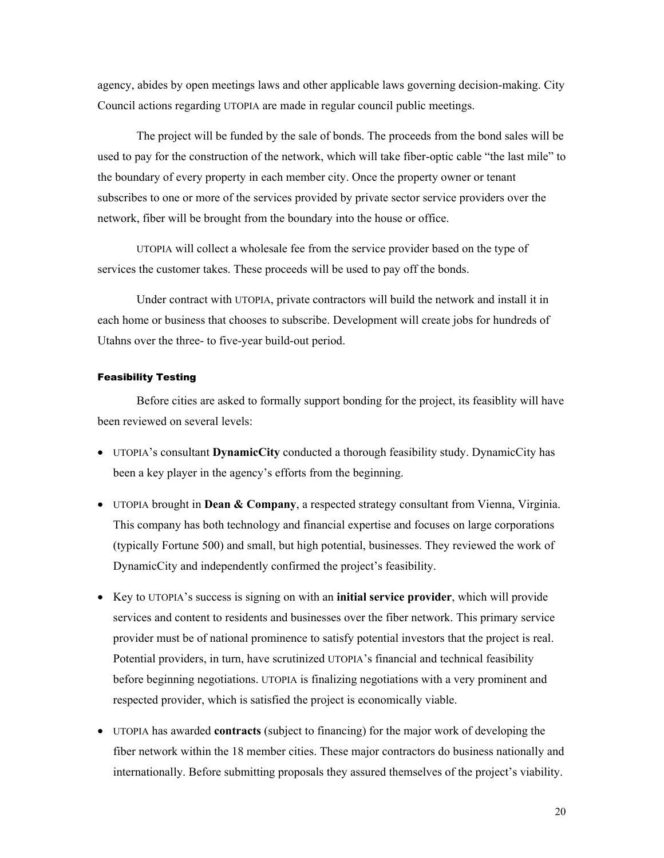agency, abides by open meetings laws and other applicable laws governing decision-making. City Council actions regarding UTOPIA are made in regular council public meetings.

The project will be funded by the sale of bonds. The proceeds from the bond sales will be used to pay for the construction of the network, which will take fiber-optic cable "the last mile" to the boundary of every property in each member city. Once the property owner or tenant subscribes to one or more of the services provided by private sector service providers over the network, fiber will be brought from the boundary into the house or office.

UTOPIA will collect a wholesale fee from the service provider based on the type of services the customer takes. These proceeds will be used to pay off the bonds.

Under contract with UTOPIA, private contractors will build the network and install it in each home or business that chooses to subscribe. Development will create jobs for hundreds of Utahns over the three- to five-year build-out period.

#### Feasibility Testing

Before cities are asked to formally support bonding for the project, its feasiblity will have been reviewed on several levels:

- UTOPIA's consultant **DynamicCity** conducted a thorough feasibility study. DynamicCity has been a key player in the agency's efforts from the beginning.
- UTOPIA brought in **Dean & Company**, a respected strategy consultant from Vienna, Virginia. This company has both technology and financial expertise and focuses on large corporations (typically Fortune 500) and small, but high potential, businesses. They reviewed the work of DynamicCity and independently confirmed the project's feasibility.
- Key to UTOPIA's success is signing on with an **initial service provider**, which will provide services and content to residents and businesses over the fiber network. This primary service provider must be of national prominence to satisfy potential investors that the project is real. Potential providers, in turn, have scrutinized UTOPIA's financial and technical feasibility before beginning negotiations. UTOPIA is finalizing negotiations with a very prominent and respected provider, which is satisfied the project is economically viable.
- UTOPIA has awarded **contracts** (subject to financing) for the major work of developing the fiber network within the 18 member cities. These major contractors do business nationally and internationally. Before submitting proposals they assured themselves of the project's viability.